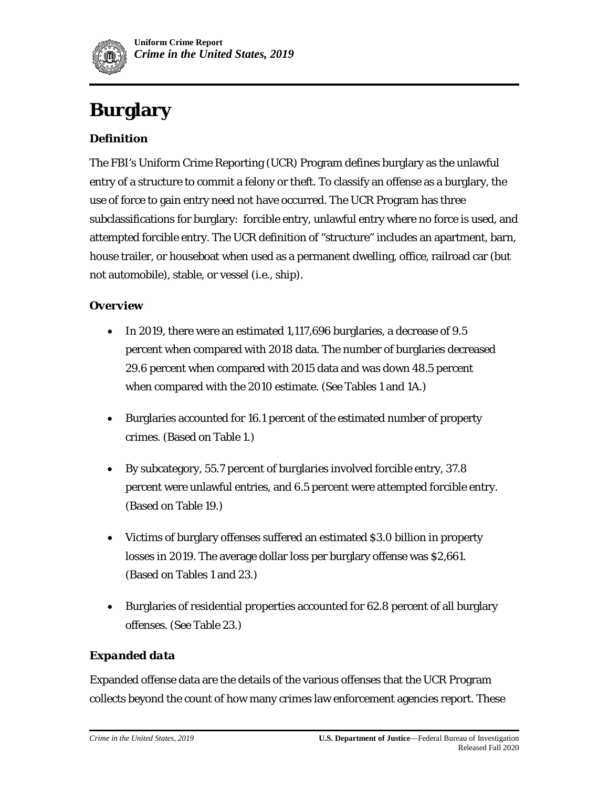

# **Burglary**

# *Definition*

The FBI's Uniform Crime Reporting (UCR) Program defines burglary as the unlawful entry of a structure to commit a felony or theft. To classify an offense as a burglary, the use of force to gain entry need not have occurred. The UCR Program has three subclassifications for burglary: forcible entry, unlawful entry where no force is used, and attempted forcible entry. The UCR definition of "structure" includes an apartment, barn, house trailer, or houseboat when used as a permanent dwelling, office, railroad car (but not automobile), stable, or vessel (i.e., ship).

### *Overview*

- In 2019, there were an estimated 1,117,696 burglaries, a decrease of 9.5 percent when compared with 2018 data. The number of burglaries decreased 29.6 percent when compared with 2015 data and was down 48.5 percent when compared with the 2010 estimate. (See Tables 1 and 1A.)
- Burglaries accounted for 16.1 percent of the estimated number of property crimes. (Based on Table 1.)
- By subcategory, 55.7 percent of burglaries involved forcible entry, 37.8 percent were unlawful entries, and 6.5 percent were attempted forcible entry. (Based on Table 19.)
- Victims of burglary offenses suffered an estimated \$3.0 billion in property losses in 2019. The average dollar loss per burglary offense was \$2,661. (Based on Tables 1 and 23.)
- Burglaries of residential properties accounted for 62.8 percent of all burglary offenses. (See Table 23.)

### *Expanded data*

Expanded offense data are the details of the various offenses that the UCR Program collects beyond the count of how many crimes law enforcement agencies report. These